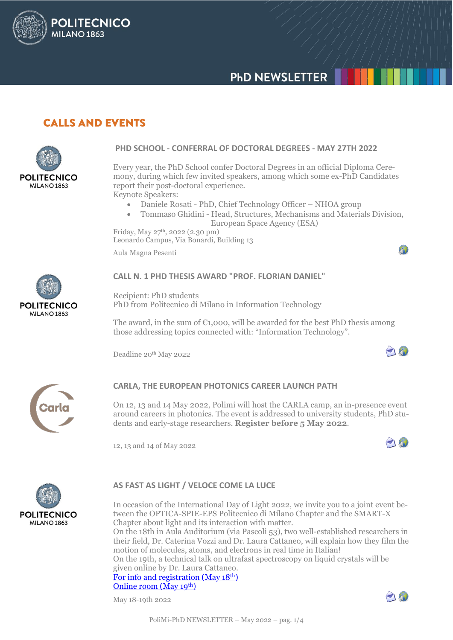# **PHD NEWSLETTER**

## **CALLS AND EVENTS**

**POLITECNICO** 

**MILANO 1863** 



### **PHD SCHOOL - CONFERRAL OF DOCTORAL DEGREES - MAY 27TH 2022**

Every year, the PhD School confer Doctoral Degrees in an official Diploma Ceremony, during which few invited speakers, among which some ex-PhD Candidates report their post-doctoral experience.

Keynote Speakers:

- Daniele Rosati PhD, Chief Technology Officer NHOA group
- Tommaso Ghidini Head, Structures, Mechanisms and Materials Division, European Space Agency (ESA)

Friday, May 27th, 2022 (2.30 pm) Leonardo Campus, Via Bonardi, Building 13

Aula Magna Pesenti



### **CALL N. 1 PHD THESIS AWARD "PROF. FLORIAN DANIEL"**

Recipient: PhD students PhD from Politecnico di Milano in Information Technology

The award, in the sum of  $\epsilon_{1,000}$ , will be awarded for the best PhD thesis among those addressing topics connected with: "Information Technology".

Deadline 20<sup>th</sup> May 2022



AN

4



### **CARLA, THE EUROPEAN PHOTONICS CAREER LAUNCH PATH**

On 12, 13 and 14 May 2022, Polimi will host the CARLA camp, an in-presence event around careers in photonics. The event is addressed to university students, PhD students and early-stage researchers. **Register before 5 May 2022**.

12, 13 and 14 of May 2022



### **AS FAST AS LIGHT / VELOCE COME LA LUCE**

In occasion of the International Day of Light 2022, we invite you to a joint event between the OPTICA-SPIE-EPS Politecnico di Milano Chapter and the SMART-X Chapter about light and its interaction with matter.

On the 18th in Aula Auditorium (via Pascoli 53), two well-established researchers in their field, Dr. Caterina Vozzi and Dr. Laura Cattaneo, will explain how they film the motion of molecules, atoms, and electrons in real time in Italian! On the 19th, a technical talk on ultrafast spectroscopy on liquid crystals will be

given online by Dr. Laura Cattaneo. [For info and registration \(May 18](https://www.eventbrite.com/e/veloce-come-la-luce-giornata-internazionale-della-luce-2022-tickets-323071093337)<sup>th</sup>)

[Online room \(May 19](https://osachapter.zoom.us/j/99740571030?pwd=RkNWRElVZjJmdml5azhuZHlsZWdWQT09)<sup>th</sup>)

May 18-19th 2022

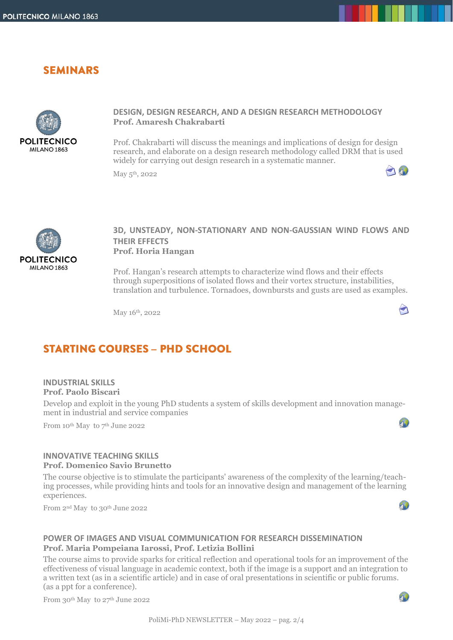### **SEMINARS**



### **DESIGN, DESIGN RESEARCH, AND A DESIGN RESEARCH METHODOLOGY Prof. Amaresh Chakrabarti**

Prof. Chakrabarti will discuss the meanings and implications of design for design research, and elaborate on a design research methodology called DRM that is used widely for carrying out design research in a systematic manner.

May 5<sup>th</sup>, 2022



### **3D, UNSTEADY, NON-STATIONARY AND NON-GAUSSIAN WIND FLOWS AND THEIR EFFECTS Prof. Horia Hangan**

Prof. Hangan's research attempts to characterize wind flows and their effects through superpositions of isolated flows and their vortex structure, instabilities, translation and turbulence. Tornadoes, downbursts and gusts are used as examples.

May 16th, 2022



90

 $\bigcap_{i=1}^n$ 

# **STARTING COURSES - PHD SCHOOL**

#### **INDUSTRIAL SKILLS Prof. Paolo Biscari**

Develop and exploit in the young PhD students a system of skills development and innovation management in industrial and service companies

From 10<sup>th</sup> May to  $7<sup>th</sup>$  June 2022

### **INNOVATIVE TEACHING SKILLS Prof. Domenico Savio Brunetto**

The course objective is to stimulate the participants' awareness of the complexity of the learning/teaching processes, while providing hints and tools for an innovative design and management of the learning experiences.

From 2nd May to 30th June 2022

### **POWER OF IMAGES AND VISUAL COMMUNICATION FOR RESEARCH DISSEMINATION Prof. Maria Pompeiana Iarossi, Prof. Letizia Bollini**

The course aims to provide sparks for critical reflection and operational tools for an improvement of the effectiveness of visual language in academic context, both if the image is a support and an integration to a written text (as in a scientific article) and in case of oral presentations in scientific or public forums. (as a ppt for a conference).

From 30<sup>th</sup> May to 27<sup>th</sup> June 2022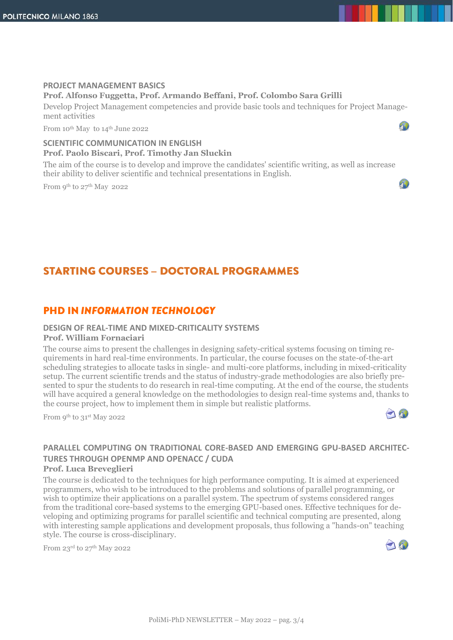### **PROJECT MANAGEMENT BASICS Prof. Alfonso Fuggetta, Prof. Armando Beffani, Prof. Colombo Sara Grilli**

Develop Project Management competencies and provide basic tools and techniques for Project Management activities

From 10<sup>th</sup> May to 14<sup>th</sup> June 2022

### **SCIENTIFIC COMMUNICATION IN ENGLISH Prof. Paolo Biscari, Prof. Timothy Jan Sluckin**

The aim of the course is to develop and improve the candidates' scientific writing, as well as increase their ability to deliver scientific and technical presentations in English.

From 9th to 27th May 2022

# **STARTING COURSES - DOCTORAL PROGRAMMES**

### **PHD IN INFORMATION TECHNOLOGY**

#### **DESIGN OF REAL-TIME AND MIXED-CRITICALITY SYSTEMS**

#### **Prof. William Fornaciari**

The course aims to present the challenges in designing safety-critical systems focusing on timing requirements in hard real-time environments. In particular, the course focuses on the state-of-the-art scheduling strategies to allocate tasks in single- and multi-core platforms, including in mixed-criticality setup. The current scientific trends and the status of industry-grade methodologies are also briefly presented to spur the students to do research in real-time computing. At the end of the course, the students will have acquired a general knowledge on the methodologies to design real-time systems and, thanks to the course project, how to implement them in simple but realistic platforms.

From 9th to 31st May 2022



90

A)

### **PARALLEL COMPUTING ON TRADITIONAL CORE-BASED AND EMERGING GPU-BASED ARCHITEC-TURES THROUGH OPENMP AND OPENACC / CUDA**

#### **Prof. Luca Breveglieri**

The course is dedicated to the techniques for high performance computing. It is aimed at experienced programmers, who wish to be introduced to the problems and solutions of parallel programming, or wish to optimize their applications on a parallel system. The spectrum of systems considered ranges from the traditional core-based systems to the emerging GPU-based ones. Effective techniques for developing and optimizing programs for parallel scientific and technical computing are presented, along with interesting sample applications and development proposals, thus following a "hands-on" teaching style. The course is cross-disciplinary.

From  $23^{\text{rd}}$  to  $27^{\text{th}}$  May 2022